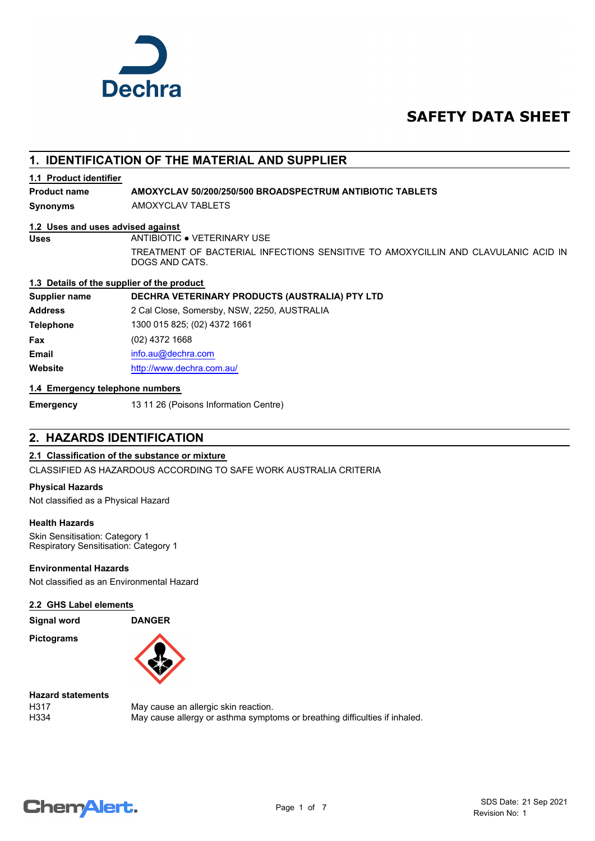

# **SAFETY DATA SHEET**

### **1. IDENTIFICATION OF THE MATERIAL AND SUPPLIER**

### **1.1 Product identifier**

**Product name AMOXYCLAV 50/200/250/500 BROADSPECTRUM ANTIBIOTIC TABLETS**

**Synonyms** AMOXYCLAV TABLETS

### **1.2 Uses and uses advised against**

**Uses** ANTIBIOTIC ● VETERINARY USE

TREATMENT OF BACTERIAL INFECTIONS SENSITIVE TO AMOXYCILLIN AND CLAVULANIC ACID IN DOGS AND CATS.

### **1.3 Details of the supplier of the product**

**Supplier name DECHRA VETERINARY PRODUCTS (AUSTRALIA) PTY LTD**

**Address** 2 Cal Close, Somersby, NSW, 2250, AUSTRALIA **Telephone** 1300 015 825; (02) 4372 1661 **Fax** (02) 4372 1668 **Email** [info.au@](mailto:info.au@dechra.com)dechra.com **Website** [http://www.](http://www.dechra.com.au/)dechra.com.au/

### **1.4 Emergency telephone numbers**

**Emergency** 13 11 26 (Poisons Information Centre)

### **2. HAZARDS IDENTIFICATION**

### **2.1 Classification of the substance or mixture**

CLASSIFIED AS HAZARDOUS ACCORDING TO SAFE WORK AUSTRALIA CRITERIA

#### **Physical Hazards**

Not classified as a Physical Hazard

### **Health Hazards**

Skin Sensitisation: Category 1 Respiratory Sensitisation: Category 1

### **Environmental Hazards**

Not classified as an Environmental Hazard

### **2.2 GHS Label elements**

**Signal word DANGER**

**Pictograms**



**Hazard statements**

H317 May cause an allergic skin reaction. H334 May cause allergy or asthma symptoms or breathing difficulties if inhaled.

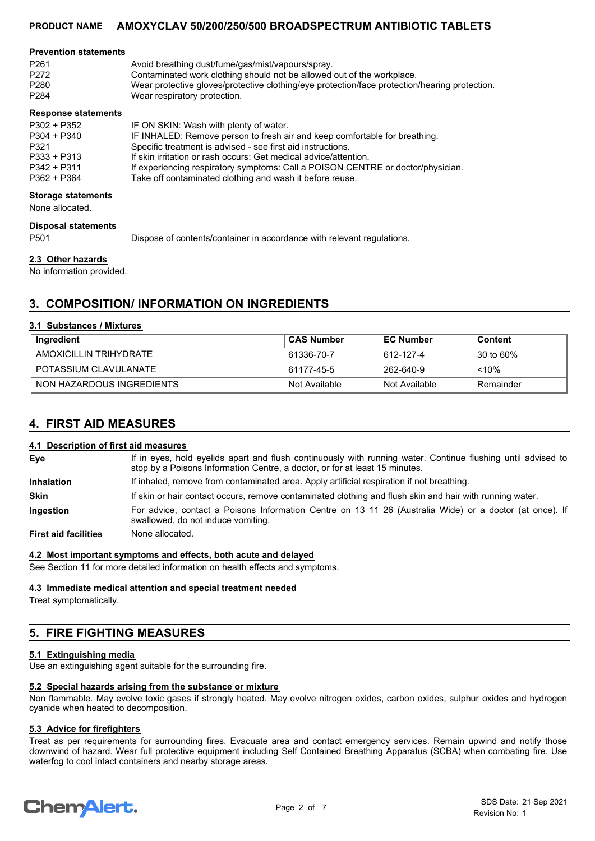#### **Prevention statements**

| P261 | Avoid breathing dust/fume/gas/mist/vapours/spray.                                             |
|------|-----------------------------------------------------------------------------------------------|
|      |                                                                                               |
| P272 | Contaminated work clothing should not be allowed out of the workplace.                        |
| P280 | Wear protective gloves/protective clothing/eye protection/face protection/hearing protection. |
| P284 | Wear respiratory protection.                                                                  |

#### **Response statements**

| P302 + P352   | IF ON SKIN: Wash with plenty of water.                                          |
|---------------|---------------------------------------------------------------------------------|
| $P304 + P340$ | IF INHALED: Remove person to fresh air and keep comfortable for breathing.      |
| P321          | Specific treatment is advised - see first aid instructions.                     |
| $P333 + P313$ | If skin irritation or rash occurs: Get medical advice/attention.                |
| $P342 + P311$ | If experiencing respiratory symptoms: Call a POISON CENTRE or doctor/physician. |
| $P362 + P364$ | Take off contaminated clothing and wash it before reuse.                        |

#### **Storage statements**

None allocated.

**Disposal statements**

P501 Dispose of contents/container in accordance with relevant regulations.

### **2.3 Other hazards**

No information provided.

### **3. COMPOSITION/ INFORMATION ON INGREDIENTS**

#### **3.1 Substances / Mixtures**

| Ingredient                | ∣ CAS Number  | <b>EC Number</b> | Content   |
|---------------------------|---------------|------------------|-----------|
| AMOXICILLIN TRIHYDRATE    | 61336-70-7    | 612-127-4        | 30 to 60% |
| POTASSIUM CLAVULANATE     | 61177-45-5    | 262-640-9        | $~10\%$   |
| NON HAZARDOUS INGREDIENTS | Not Available | Not Available    | Remainder |

### **4. FIRST AID MEASURES**

### **4.1 Description of first aid measures**

If in eyes, hold eyelids apart and flush continuously with running water. Continue flushing until advised to stop by a Poisons Information Centre, a doctor, or for at least 15 minutes. **Eye Inhalation** If inhaled, remove from contaminated area. Apply artificial respiration if not breathing. **Skin** If skin or hair contact occurs, remove contaminated clothing and flush skin and hair with running water. For advice, contact a Poisons Information Centre on 13 11 26 (Australia Wide) or a doctor (at once). If swallowed, do not induce vomiting. **Ingestion**

**First aid facilities** None allocated.

#### **4.2 Most important symptoms and effects, both acute and delayed**

See Section 11 for more detailed information on health effects and symptoms.

#### **4.3 Immediate medical attention and special treatment needed**

Treat symptomatically.

## **5. FIRE FIGHTING MEASURES**

### **5.1 Extinguishing media**

Use an extinguishing agent suitable for the surrounding fire.

### **5.2 Special hazards arising from the substance or mixture**

Non flammable. May evolve toxic gases if strongly heated. May evolve nitrogen oxides, carbon oxides, sulphur oxides and hydrogen cyanide when heated to decomposition.

### **5.3 Advice for firefighters**

Treat as per requirements for surrounding fires. Evacuate area and contact emergency services. Remain upwind and notify those downwind of hazard. Wear full protective equipment including Self Contained Breathing Apparatus (SCBA) when combating fire. Use waterfog to cool intact containers and nearby storage areas.

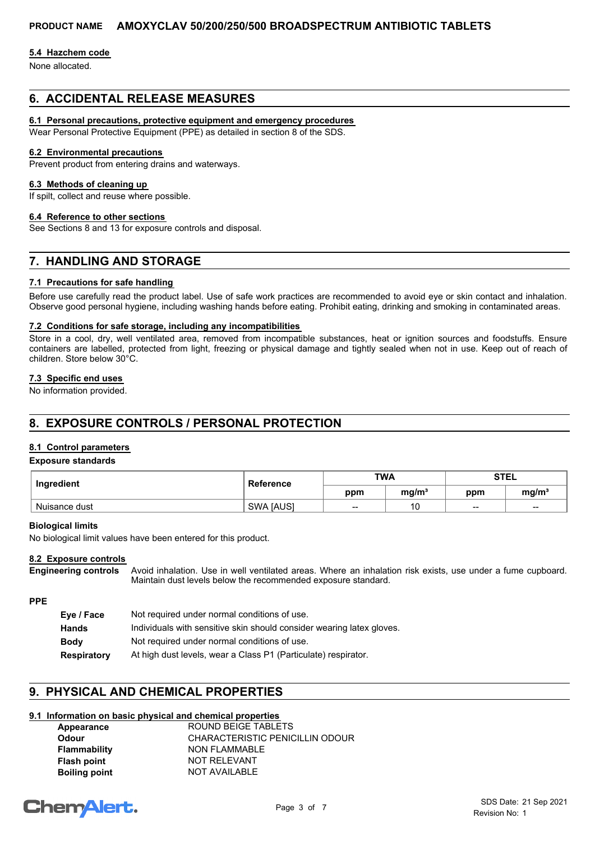### **5.4 Hazchem code**

None allocated.

### **6. ACCIDENTAL RELEASE MEASURES**

### **6.1 Personal precautions, protective equipment and emergency procedures**

Wear Personal Protective Equipment (PPE) as detailed in section 8 of the SDS.

#### **6.2 Environmental precautions**

Prevent product from entering drains and waterways.

### **6.3 Methods of cleaning up**

If spilt, collect and reuse where possible.

### **6.4 Reference to other sections**

See Sections 8 and 13 for exposure controls and disposal.

### **7. HANDLING AND STORAGE**

### **7.1 Precautions for safe handling**

Before use carefully read the product label. Use of safe work practices are recommended to avoid eye or skin contact and inhalation. Observe good personal hygiene, including washing hands before eating. Prohibit eating, drinking and smoking in contaminated areas.

### **7.2 Conditions for safe storage, including any incompatibilities**

Store in a cool, dry, well ventilated area, removed from incompatible substances, heat or ignition sources and foodstuffs. Ensure containers are labelled, protected from light, freezing or physical damage and tightly sealed when not in use. Keep out of reach of children. Store below 30°C.

### **7.3 Specific end uses**

No information provided.

### **8. EXPOSURE CONTROLS / PERSONAL PROTECTION**

### **8.1 Control parameters**

#### **Exposure standards**

| Ingredient    | <b>Reference</b> | <b>TWA</b> |                   | <b>STEL</b> |                   |
|---------------|------------------|------------|-------------------|-------------|-------------------|
|               |                  | ppm        | mq/m <sup>3</sup> | ppm         | mg/m <sup>3</sup> |
| Nuisance dust | <b>SWA JAUSI</b> | --         | AC                | $- -$       | $\sim$            |

#### **Biological limits**

No biological limit values have been entered for this product.

#### **8.2 Exposure controls**

Avoid inhalation. Use in well ventilated areas. Where an inhalation risk exists, use under a fume cupboard. Maintain dust levels below the recommended exposure standard. **Engineering controls**

### **PPE**

| Eye / Face         | Not required under normal conditions of use.                          |
|--------------------|-----------------------------------------------------------------------|
| <b>Hands</b>       | Individuals with sensitive skin should consider wearing latex gloves. |
| <b>Body</b>        | Not required under normal conditions of use.                          |
| <b>Respiratory</b> | At high dust levels, wear a Class P1 (Particulate) respirator.        |

### **9. PHYSICAL AND CHEMICAL PROPERTIES**

### **9.1 Information on basic physical and chemical properties**

| Appearance           | ROUND BEIGE TABLETS             |
|----------------------|---------------------------------|
| Odour                | CHARACTERISTIC PENICILLIN ODOUR |
| <b>Flammability</b>  | NON FLAMMABLE                   |
| <b>Flash point</b>   | NOT RELEVANT                    |
| <b>Boiling point</b> | <b>NOT AVAILABLE</b>            |
|                      |                                 |

# **ChemAlert.**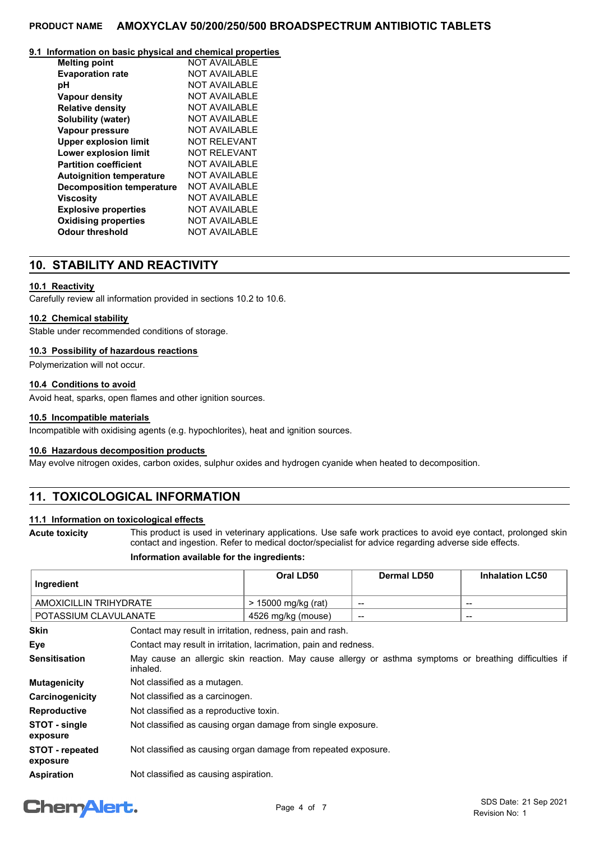#### **9.1 Information on basic physical and chemical properties**

| <b>Melting point</b>             | <b>NOT AVAILABLE</b> |
|----------------------------------|----------------------|
| <b>Evaporation rate</b>          | <b>NOT AVAILABLE</b> |
| рH                               | <b>NOT AVAILABLE</b> |
| <b>Vapour density</b>            | NOT AVAILABLE        |
| <b>Relative density</b>          | <b>NOT AVAILABLE</b> |
| Solubility (water)               | <b>NOT AVAILABLE</b> |
| Vapour pressure                  | NOT AVAILABLE        |
| <b>Upper explosion limit</b>     | <b>NOT RELEVANT</b>  |
| Lower explosion limit            | NOT RFI FVANT        |
| <b>Partition coefficient</b>     | NOT AVAILABLE        |
| <b>Autoignition temperature</b>  | <b>NOT AVAILABLE</b> |
| <b>Decomposition temperature</b> | NOT AVAII ABI F      |
| Viscosity                        | NOT AVAII ABI F      |
| <b>Explosive properties</b>      | <b>NOT AVAILABLE</b> |
| <b>Oxidising properties</b>      | <b>NOT AVAILABLE</b> |
| <b>Odour threshold</b>           | <b>NOT AVAILABLE</b> |

### **10. STABILITY AND REACTIVITY**

### **10.1 Reactivity**

Carefully review all information provided in sections 10.2 to 10.6.

### **10.2 Chemical stability**

Stable under recommended conditions of storage.

### **10.3 Possibility of hazardous reactions**

Polymerization will not occur.

### **10.4 Conditions to avoid**

Avoid heat, sparks, open flames and other ignition sources.

### **10.5 Incompatible materials**

Incompatible with oxidising agents (e.g. hypochlorites), heat and ignition sources.

### **10.6 Hazardous decomposition products**

May evolve nitrogen oxides, carbon oxides, sulphur oxides and hydrogen cyanide when heated to decomposition.

### **11. TOXICOLOGICAL INFORMATION**

### **11.1 Information on toxicological effects**

**Acute toxicity**

This product is used in veterinary applications. Use safe work practices to avoid eye contact, prolonged skin contact and ingestion. Refer to medical doctor/specialist for advice regarding adverse side effects.

### **Information available for the ingredients:**

| Ingredient                         |                                                                                                                    | Oral LD50                                                        | <b>Dermal LD50</b> | <b>Inhalation LC50</b>   |
|------------------------------------|--------------------------------------------------------------------------------------------------------------------|------------------------------------------------------------------|--------------------|--------------------------|
| AMOXICILLIN TRIHYDRATE             |                                                                                                                    | > 15000 mg/kg (rat)                                              | $\qquad \qquad$    | $\overline{\phantom{a}}$ |
| POTASSIUM CLAVULANATE              |                                                                                                                    | 4526 mg/kg (mouse)                                               | --                 | $\overline{\phantom{a}}$ |
| <b>Skin</b>                        | Contact may result in irritation, redness, pain and rash.                                                          |                                                                  |                    |                          |
| Eye                                |                                                                                                                    | Contact may result in irritation, lacrimation, pain and redness. |                    |                          |
| <b>Sensitisation</b>               | May cause an allergic skin reaction. May cause allergy or asthma symptoms or breathing difficulties if<br>inhaled. |                                                                  |                    |                          |
| <b>Mutagenicity</b>                | Not classified as a mutagen.                                                                                       |                                                                  |                    |                          |
| Carcinogenicity                    | Not classified as a carcinogen.                                                                                    |                                                                  |                    |                          |
| <b>Reproductive</b>                | Not classified as a reproductive toxin.                                                                            |                                                                  |                    |                          |
| STOT - single<br>exposure          | Not classified as causing organ damage from single exposure.                                                       |                                                                  |                    |                          |
| <b>STOT - repeated</b><br>exposure | Not classified as causing organ damage from repeated exposure.                                                     |                                                                  |                    |                          |
| <b>Aspiration</b>                  | Not classified as causing aspiration.                                                                              |                                                                  |                    |                          |

# **ChemAlert.**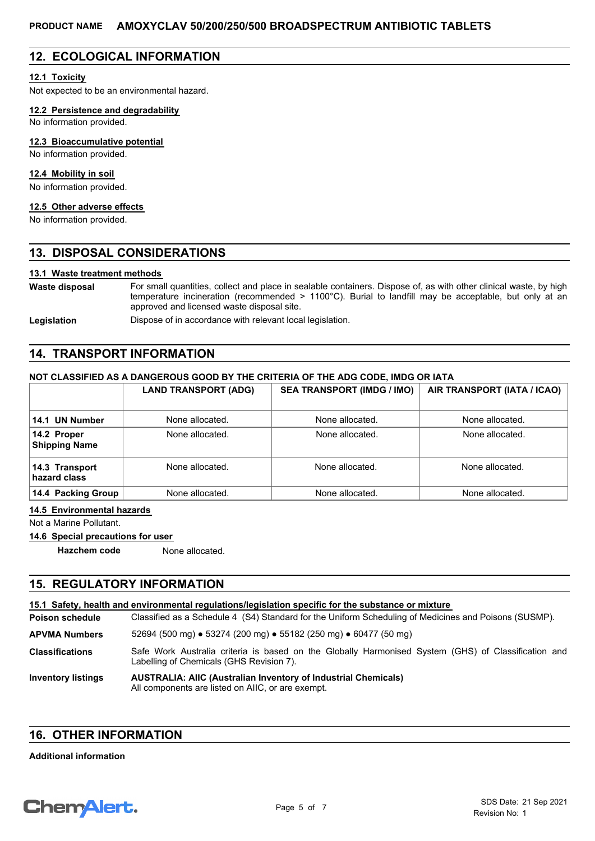### **12. ECOLOGICAL INFORMATION**

### **12.1 Toxicity**

Not expected to be an environmental hazard.

### **12.2 Persistence and degradability**

No information provided.

### **12.3 Bioaccumulative potential**

No information provided.

### **12.4 Mobility in soil**

No information provided.

## **12.5 Other adverse effects**

No information provided.

### **13. DISPOSAL CONSIDERATIONS**

### **13.1 Waste treatment methods**

For small quantities, collect and place in sealable containers. Dispose of, as with other clinical waste, by high temperature incineration (recommended > 1100°C). Burial to landfill may be acceptable, but only at an approved and licensed waste disposal site. **Waste disposal**

Legislation **Dispose of in accordance with relevant local legislation.** 

### **14. TRANSPORT INFORMATION**

### **NOT CLASSIFIED AS A DANGEROUS GOOD BY THE CRITERIA OF THE ADG CODE, IMDG OR IATA**

|                                     | <b>LAND TRANSPORT (ADG)</b> | <b>SEA TRANSPORT (IMDG / IMO)</b> | AIR TRANSPORT (IATA / ICAO) |
|-------------------------------------|-----------------------------|-----------------------------------|-----------------------------|
| 14.1 UN Number                      | None allocated.             | None allocated.                   | None allocated.             |
| 14.2 Proper<br><b>Shipping Name</b> | None allocated.             | None allocated.                   | None allocated.             |
| 14.3 Transport<br>hazard class      | None allocated.             | None allocated.                   | None allocated.             |
| 14.4 Packing Group                  | None allocated.             | None allocated.                   | None allocated.             |

#### **14.5 Environmental hazards**

Not a Marine Pollutant.

### **14.6 Special precautions for user**

**Hazchem code** None allocated.

### **15. REGULATORY INFORMATION**

| 15.1 Safety, health and environmental regulations/legislation specific for the substance or mixture |                                                                                                                                                 |  |
|-----------------------------------------------------------------------------------------------------|-------------------------------------------------------------------------------------------------------------------------------------------------|--|
| <b>Poison schedule</b>                                                                              | Classified as a Schedule 4 (S4) Standard for the Uniform Scheduling of Medicines and Poisons (SUSMP).                                           |  |
| <b>APVMA Numbers</b>                                                                                | 52694 (500 mg) $\bullet$ 53274 (200 mg) $\bullet$ 55182 (250 mg) $\bullet$ 60477 (50 mg)                                                        |  |
| <b>Classifications</b>                                                                              | Safe Work Australia criteria is based on the Globally Harmonised System (GHS) of Classification and<br>Labelling of Chemicals (GHS Revision 7). |  |
| <b>Inventory listings</b>                                                                           | <b>AUSTRALIA: AIIC (Australian Inventory of Industrial Chemicals)</b><br>All components are listed on AIIC, or are exempt.                      |  |

### **16. OTHER INFORMATION**

#### **Additional information**

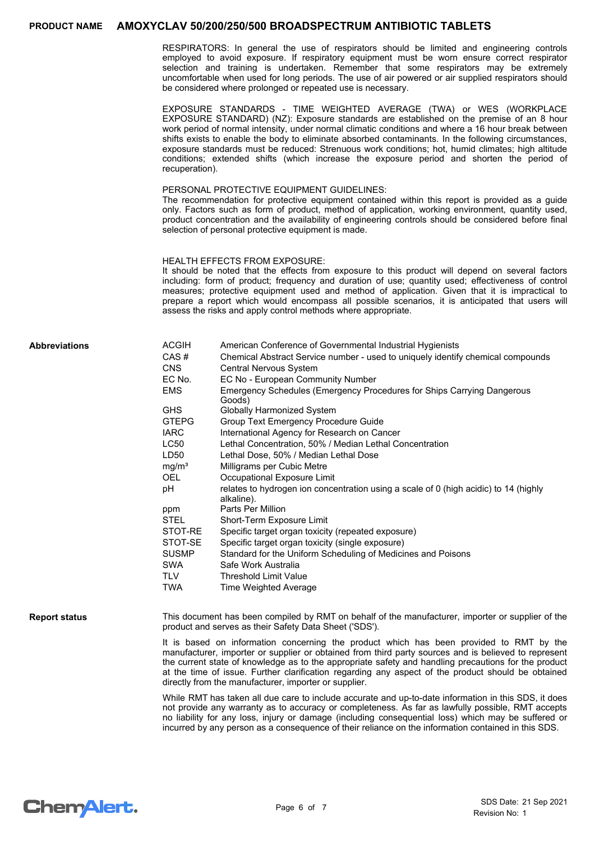RESPIRATORS: In general the use of respirators should be limited and engineering controls employed to avoid exposure. If respiratory equipment must be worn ensure correct respirator selection and training is undertaken. Remember that some respirators may be extremely uncomfortable when used for long periods. The use of air powered or air supplied respirators should be considered where prolonged or repeated use is necessary.

EXPOSURE STANDARDS - TIME WEIGHTED AVERAGE (TWA) or WES (WORKPLACE EXPOSURE STANDARD) (NZ): Exposure standards are established on the premise of an 8 hour work period of normal intensity, under normal climatic conditions and where a 16 hour break between shifts exists to enable the body to eliminate absorbed contaminants. In the following circumstances, exposure standards must be reduced: Strenuous work conditions; hot, humid climates; high altitude conditions; extended shifts (which increase the exposure period and shorten the period of recuperation).

#### PERSONAL PROTECTIVE EQUIPMENT GUIDELINES:

The recommendation for protective equipment contained within this report is provided as a guide only. Factors such as form of product, method of application, working environment, quantity used, product concentration and the availability of engineering controls should be considered before final selection of personal protective equipment is made.

#### HEALTH EFFECTS FROM EXPOSURE:

It should be noted that the effects from exposure to this product will depend on several factors including: form of product; frequency and duration of use; quantity used; effectiveness of control measures; protective equipment used and method of application. Given that it is impractical to prepare a report which would encompass all possible scenarios, it is anticipated that users will assess the risks and apply control methods where appropriate.

#### **Abbreviations**

| ACGIH<br>CAS#<br>CNS | American Conference of Governmental Industrial Hygienists<br>Chemical Abstract Service number - used to uniquely identify chemical compounds<br><b>Central Nervous System</b> |
|----------------------|-------------------------------------------------------------------------------------------------------------------------------------------------------------------------------|
| EC No.               | EC No - European Community Number                                                                                                                                             |
| <b>EMS</b>           | Emergency Schedules (Emergency Procedures for Ships Carrying Dangerous<br>Goods)                                                                                              |
| GHS                  | Globally Harmonized System                                                                                                                                                    |
| <b>GTEPG</b>         | Group Text Emergency Procedure Guide                                                                                                                                          |
| <b>IARC</b>          | International Agency for Research on Cancer                                                                                                                                   |
| LC50                 | Lethal Concentration, 50% / Median Lethal Concentration                                                                                                                       |
| LD50                 | Lethal Dose, 50% / Median Lethal Dose                                                                                                                                         |
| mg/m <sup>3</sup>    | Milligrams per Cubic Metre                                                                                                                                                    |
| OEL.                 | Occupational Exposure Limit                                                                                                                                                   |
| рH                   | relates to hydrogen ion concentration using a scale of 0 (high acidic) to 14 (highly<br>alkaline).                                                                            |
| ppm                  | Parts Per Million                                                                                                                                                             |
| STEL                 | Short-Term Exposure Limit                                                                                                                                                     |
| STOT-RE              | Specific target organ toxicity (repeated exposure)                                                                                                                            |
| STOT-SE              | Specific target organ toxicity (single exposure)                                                                                                                              |
| <b>SUSMP</b>         | Standard for the Uniform Scheduling of Medicines and Poisons                                                                                                                  |
| SWA                  | Safe Work Australia                                                                                                                                                           |
| TLV                  | <b>Threshold Limit Value</b>                                                                                                                                                  |
| TWA                  | <b>Time Weighted Average</b>                                                                                                                                                  |
|                      |                                                                                                                                                                               |

**Report status**

This document has been compiled by RMT on behalf of the manufacturer, importer or supplier of the product and serves as their Safety Data Sheet ('SDS').

It is based on information concerning the product which has been provided to RMT by the manufacturer, importer or supplier or obtained from third party sources and is believed to represent the current state of knowledge as to the appropriate safety and handling precautions for the product at the time of issue. Further clarification regarding any aspect of the product should be obtained directly from the manufacturer, importer or supplier.

While RMT has taken all due care to include accurate and up-to-date information in this SDS, it does not provide any warranty as to accuracy or completeness. As far as lawfully possible, RMT accepts no liability for any loss, injury or damage (including consequential loss) which may be suffered or incurred by any person as a consequence of their reliance on the information contained in this SDS.

# **ChemAlert.**